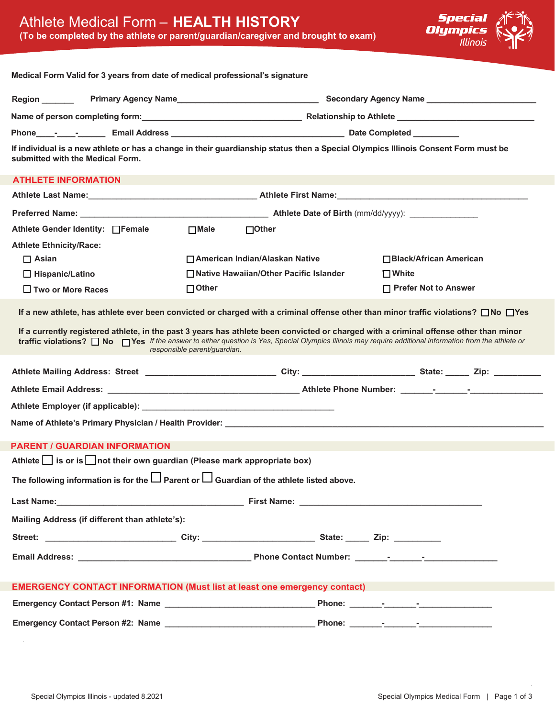

| Medical Form Valid for 3 years from date of medical professional's signature                                                                                                                                                                                                                                                                |                                                                                                                                      |                                             |  |  |  |  |  |  |
|---------------------------------------------------------------------------------------------------------------------------------------------------------------------------------------------------------------------------------------------------------------------------------------------------------------------------------------------|--------------------------------------------------------------------------------------------------------------------------------------|---------------------------------------------|--|--|--|--|--|--|
|                                                                                                                                                                                                                                                                                                                                             |                                                                                                                                      |                                             |  |  |  |  |  |  |
|                                                                                                                                                                                                                                                                                                                                             |                                                                                                                                      |                                             |  |  |  |  |  |  |
|                                                                                                                                                                                                                                                                                                                                             |                                                                                                                                      |                                             |  |  |  |  |  |  |
| If individual is a new athlete or has a change in their guardianship status then a Special Olympics Illinois Consent Form must be<br>submitted with the Medical Form.                                                                                                                                                                       |                                                                                                                                      |                                             |  |  |  |  |  |  |
| <b>ATHLETE INFORMATION</b>                                                                                                                                                                                                                                                                                                                  |                                                                                                                                      |                                             |  |  |  |  |  |  |
|                                                                                                                                                                                                                                                                                                                                             |                                                                                                                                      |                                             |  |  |  |  |  |  |
|                                                                                                                                                                                                                                                                                                                                             |                                                                                                                                      |                                             |  |  |  |  |  |  |
| Athlete Gender Identity: □Female                                                                                                                                                                                                                                                                                                            | □Male □Other                                                                                                                         |                                             |  |  |  |  |  |  |
| <b>Athlete Ethnicity/Race:</b>                                                                                                                                                                                                                                                                                                              |                                                                                                                                      |                                             |  |  |  |  |  |  |
| $\Box$ Asian                                                                                                                                                                                                                                                                                                                                | □ American Indian/Alaskan Native                                                                                                     | □ Black/African American                    |  |  |  |  |  |  |
| $\Box$ Hispanic/Latino                                                                                                                                                                                                                                                                                                                      | □ Native Hawaiian/Other Pacific Islander<br>$\Box$ Other                                                                             | $\Box$ White<br>$\Box$ Prefer Not to Answer |  |  |  |  |  |  |
| $\Box$ Two or More Races                                                                                                                                                                                                                                                                                                                    |                                                                                                                                      |                                             |  |  |  |  |  |  |
|                                                                                                                                                                                                                                                                                                                                             | If a new athlete, has athlete ever been convicted or charged with a criminal offense other than minor traffic violations? □ No □ Yes |                                             |  |  |  |  |  |  |
| If a currently registered athlete, in the past 3 years has athlete been convicted or charged with a criminal offense other than minor<br>traffic violations? $\Box$ No $\Box$ Yes If the answer to either question is Yes, Special Olympics Illinois may require additional information from the athlete or<br>responsible parent/guardian. |                                                                                                                                      |                                             |  |  |  |  |  |  |
|                                                                                                                                                                                                                                                                                                                                             |                                                                                                                                      |                                             |  |  |  |  |  |  |
|                                                                                                                                                                                                                                                                                                                                             |                                                                                                                                      |                                             |  |  |  |  |  |  |
|                                                                                                                                                                                                                                                                                                                                             |                                                                                                                                      |                                             |  |  |  |  |  |  |
|                                                                                                                                                                                                                                                                                                                                             |                                                                                                                                      |                                             |  |  |  |  |  |  |
| <b>PARENT / GUARDIAN INFORMATION</b>                                                                                                                                                                                                                                                                                                        |                                                                                                                                      |                                             |  |  |  |  |  |  |
| Athlete $\Box$ is or is $\Box$ not their own guardian (Please mark appropriate box)                                                                                                                                                                                                                                                         |                                                                                                                                      |                                             |  |  |  |  |  |  |
| The following information is for the $\square$ Parent or $\square$ Guardian of the athlete listed above.                                                                                                                                                                                                                                    |                                                                                                                                      |                                             |  |  |  |  |  |  |
| Last Name: <u>New York Street, and Street and Street and Street and Street and Street and Street and Street and Street and Street and Street and Street and Street and Street and Street and Street and Street and Street and St</u>                                                                                                        |                                                                                                                                      |                                             |  |  |  |  |  |  |
| Mailing Address (if different than athlete's):                                                                                                                                                                                                                                                                                              |                                                                                                                                      |                                             |  |  |  |  |  |  |
|                                                                                                                                                                                                                                                                                                                                             | Street: ________________________________City: __________________________________ State: _______ Zip: __________                      |                                             |  |  |  |  |  |  |
|                                                                                                                                                                                                                                                                                                                                             |                                                                                                                                      |                                             |  |  |  |  |  |  |
|                                                                                                                                                                                                                                                                                                                                             |                                                                                                                                      |                                             |  |  |  |  |  |  |
| <b>EMERGENCY CONTACT INFORMATION (Must list at least one emergency contact)</b>                                                                                                                                                                                                                                                             |                                                                                                                                      |                                             |  |  |  |  |  |  |
|                                                                                                                                                                                                                                                                                                                                             |                                                                                                                                      |                                             |  |  |  |  |  |  |
|                                                                                                                                                                                                                                                                                                                                             |                                                                                                                                      |                                             |  |  |  |  |  |  |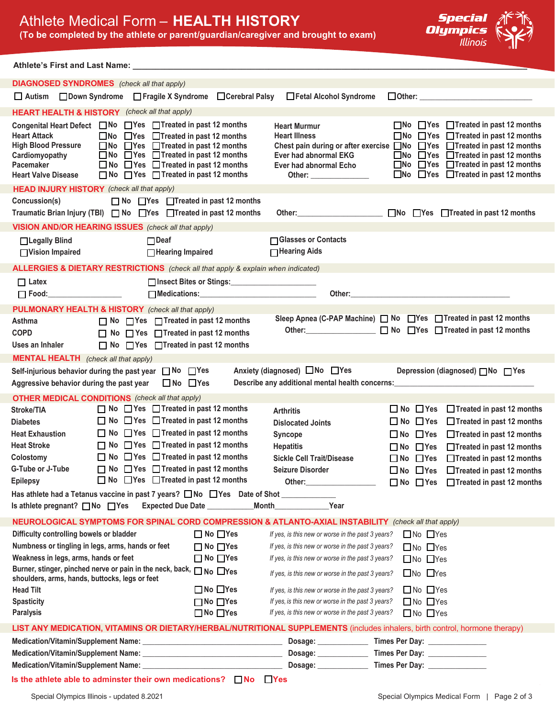## Athlete Medical Form – **HEALTH HISTORY**

**(To be completed by the athlete or parent/guardian/caregiver and brought to exam)**



#### **Athlete's First and Last Name: \_\_\_\_\_\_\_\_\_\_\_\_\_\_\_\_\_\_\_\_\_\_\_\_\_\_\_\_\_\_\_\_\_\_\_\_\_\_\_\_\_\_\_\_\_\_\_\_\_\_\_\_\_\_\_\_\_\_\_\_\_\_\_\_\_\_\_\_\_\_\_\_\_\_\_\_\_\_\_\_\_\_\_\_\_\_\_**

|                                                                                                                                                                                                                                                                                                                 | <b>DIAGNOSED SYNDROMES</b> (check all that apply)                                                                                                                                                                                                                                                                                                                                                                                                                                                    |                                                                      |                                                                                                                                                                                                                                                                                                                                                                                                                   |                                                                                                                                                                                                                                                                                                                                                                                                         |  |  |  |  |
|-----------------------------------------------------------------------------------------------------------------------------------------------------------------------------------------------------------------------------------------------------------------------------------------------------------------|------------------------------------------------------------------------------------------------------------------------------------------------------------------------------------------------------------------------------------------------------------------------------------------------------------------------------------------------------------------------------------------------------------------------------------------------------------------------------------------------------|----------------------------------------------------------------------|-------------------------------------------------------------------------------------------------------------------------------------------------------------------------------------------------------------------------------------------------------------------------------------------------------------------------------------------------------------------------------------------------------------------|---------------------------------------------------------------------------------------------------------------------------------------------------------------------------------------------------------------------------------------------------------------------------------------------------------------------------------------------------------------------------------------------------------|--|--|--|--|
|                                                                                                                                                                                                                                                                                                                 | □ Autism □ Down Syndrome □ Fragile X Syndrome                                                                                                                                                                                                                                                                                                                                                                                                                                                        | □ Cerebral Palsy                                                     | Fetal Alcohol Syndrome                                                                                                                                                                                                                                                                                                                                                                                            | $\Box$ Other: $\Box$                                                                                                                                                                                                                                                                                                                                                                                    |  |  |  |  |
|                                                                                                                                                                                                                                                                                                                 | <b>HEART HEALTH &amp; HISTORY</b> (check all that apply)                                                                                                                                                                                                                                                                                                                                                                                                                                             |                                                                      |                                                                                                                                                                                                                                                                                                                                                                                                                   |                                                                                                                                                                                                                                                                                                                                                                                                         |  |  |  |  |
| <b>Heart Attack</b><br><b>High Blood Pressure</b><br>Cardiomyopathy<br>Pacemaker<br><b>Heart Valve Disease</b><br><b>HEAD INJURY HISTORY</b> (check all that apply)                                                                                                                                             | Congenital Heart Defect □ No □ Yes □ Treated in past 12 months<br>$\Box$ No $\Box$ Yes $\Box$ Treated in past 12 months<br>$\Box$ No $\Box$ Yes $\Box$ Treated in past 12 months<br>□ No □ Yes □ Treated in past 12 months<br>$\Box$ No $\Box$ Yes $\Box$ Treated in past 12 months<br>$\Box$ No $\Box$ Yes $\Box$ Treated in past 12 months                                                                                                                                                         |                                                                      | <b>Heart Murmur</b><br><b>Heart Illness</b><br>Ever had abnormal EKG<br>Ever had abnormal Echo<br>Other: _______________                                                                                                                                                                                                                                                                                          | $\Box$ No $\Box$ Yes $\Box$ Treated in past 12 months<br>$\Box$ No $\Box$ Yes $\Box$ Treated in past 12 months<br>Chest pain during or after exercise $\Box$ No $\Box$ Yes $\Box$ Treated in past 12 months<br>$\Box$ No $\Box$ Yes $\Box$ Treated in past 12 months<br>$\Box$ No $\Box$ Yes $\Box$ Treated in past 12 months<br>$\Box$ No $\Box$ Yes $\Box$ Treated in past 12 months                  |  |  |  |  |
| Concussion(s)                                                                                                                                                                                                                                                                                                   | $\Box$ No $\Box$ Yes $\Box$ Treated in past 12 months                                                                                                                                                                                                                                                                                                                                                                                                                                                |                                                                      |                                                                                                                                                                                                                                                                                                                                                                                                                   |                                                                                                                                                                                                                                                                                                                                                                                                         |  |  |  |  |
|                                                                                                                                                                                                                                                                                                                 | Traumatic Brian Injury (TBI) □ No □ Yes □ Treated in past 12 months                                                                                                                                                                                                                                                                                                                                                                                                                                  |                                                                      |                                                                                                                                                                                                                                                                                                                                                                                                                   | Other: 0ther: 0ther: 0ther: 0ther: 0ther: 0ther: 0ther: 0ther: 0ther= 0ther= 0ther= 0ther= 0ther= 0ther= 0ther= 0ther= 0ther= 0ther= 0ther= 0ther= 0ther= 0ther= 0ther= 0ther= 0ther= 0ther= 0ther= 0ther= 0ther= 0ther= 0the                                                                                                                                                                           |  |  |  |  |
|                                                                                                                                                                                                                                                                                                                 | <b>VISION AND/OR HEARING ISSUES</b> (check all that apply)                                                                                                                                                                                                                                                                                                                                                                                                                                           |                                                                      |                                                                                                                                                                                                                                                                                                                                                                                                                   |                                                                                                                                                                                                                                                                                                                                                                                                         |  |  |  |  |
| □Legally Blind<br>□Vision Impaired                                                                                                                                                                                                                                                                              | $\Box$ Deaf<br>□ Hearing Impaired                                                                                                                                                                                                                                                                                                                                                                                                                                                                    |                                                                      | □ Glasses or Contacts<br>$\Box$ Hearing Aids                                                                                                                                                                                                                                                                                                                                                                      |                                                                                                                                                                                                                                                                                                                                                                                                         |  |  |  |  |
|                                                                                                                                                                                                                                                                                                                 | <b>ALLERGIES &amp; DIETARY RESTRICTIONS</b> (check all that apply & explain when indicated)                                                                                                                                                                                                                                                                                                                                                                                                          |                                                                      |                                                                                                                                                                                                                                                                                                                                                                                                                   |                                                                                                                                                                                                                                                                                                                                                                                                         |  |  |  |  |
| $\Box$ Latex<br>□ Food:___________________                                                                                                                                                                                                                                                                      |                                                                                                                                                                                                                                                                                                                                                                                                                                                                                                      | □ Insect Bites or Stings:<br>Medications: Management of Medications: |                                                                                                                                                                                                                                                                                                                                                                                                                   | Other: the contract of the contract of the contract of the contract of the contract of the contract of the contract of the contract of the contract of the contract of the contract of the contract of the contract of the con                                                                                                                                                                          |  |  |  |  |
|                                                                                                                                                                                                                                                                                                                 | <b>PULMONARY HEALTH &amp; HISTORY</b> (check all that apply)                                                                                                                                                                                                                                                                                                                                                                                                                                         |                                                                      |                                                                                                                                                                                                                                                                                                                                                                                                                   |                                                                                                                                                                                                                                                                                                                                                                                                         |  |  |  |  |
| <b>Asthma</b><br><b>COPD</b><br>Uses an Inhaler                                                                                                                                                                                                                                                                 | $\Box$ No $\Box$ Yes $\Box$ Treated in past 12 months<br>$\Box$ No $\Box$ Yes $\Box$ Treated in past 12 months<br>$\Box$ No $\Box$ Yes $\Box$ Treated in past 12 months                                                                                                                                                                                                                                                                                                                              |                                                                      |                                                                                                                                                                                                                                                                                                                                                                                                                   | Sleep Apnea (C-PAP Machine) No Nes neated in past 12 months<br>Other: ◯ No ◯ Yes ◯ Treated in past 12 months                                                                                                                                                                                                                                                                                            |  |  |  |  |
| <b>MENTAL HEALTH</b> (check all that apply)                                                                                                                                                                                                                                                                     |                                                                                                                                                                                                                                                                                                                                                                                                                                                                                                      |                                                                      |                                                                                                                                                                                                                                                                                                                                                                                                                   |                                                                                                                                                                                                                                                                                                                                                                                                         |  |  |  |  |
| Anxiety (diagnosed) □No □Yes<br>Self-injurious behavior during the past year □ No □ Yes<br>Depression (diagnosed) No DYes<br>Describe any additional mental health concerns: [1983] [1983] [1983] [1983] [1983] [1983] [1983] [1983] [1983]<br>Aggressive behavior during the past year<br>$\Box$ No $\Box$ Yes |                                                                                                                                                                                                                                                                                                                                                                                                                                                                                                      |                                                                      |                                                                                                                                                                                                                                                                                                                                                                                                                   |                                                                                                                                                                                                                                                                                                                                                                                                         |  |  |  |  |
|                                                                                                                                                                                                                                                                                                                 | <b>OTHER MEDICAL CONDITIONS</b> (check all that apply)                                                                                                                                                                                                                                                                                                                                                                                                                                               |                                                                      |                                                                                                                                                                                                                                                                                                                                                                                                                   |                                                                                                                                                                                                                                                                                                                                                                                                         |  |  |  |  |
| Stroke/TIA<br><b>Diabetes</b><br><b>Heat Exhaustion</b><br><b>Heat Stroke</b><br>Colostomy<br>G-Tube or J-Tube<br><b>Epilepsy</b><br>Is athlete pregnant? □No □Yes                                                                                                                                              | $\Box$ No $\Box$ Yes $\Box$ Treated in past 12 months<br>$\Box$ No $\Box$ Yes $\Box$ Treated in past 12 months<br>$\Box$ No $\Box$ Yes $\Box$ Treated in past 12 months<br>$\Box$ No $\Box$ Yes $\Box$ Treated in past 12 months<br>$\Box$ No $\Box$ Yes $\Box$ Treated in past 12 months<br>$\Box$ No $\Box$ Yes $\Box$ Treated in past 12 months<br>$\Box$ No $\Box$ Yes $\Box$ Treated in past 12 months<br>Has athlete had a Tetanus vaccine in past 7 years? □No □Yes Date of Shot ____________ | Expected Due Date __________                                         | <b>Arthritis</b><br><b>Dislocated Joints</b><br><b>Syncope</b><br><b>Hepatitis</b><br><b>Sickle Cell Trait/Disease</b><br><b>Seizure Disorder</b><br>Other: and the contract of the contract of the contract of the contract of the contract of the contract of the contract of the contract of the contract of the contract of the contract of the contract of the contract of the<br><b>Month Month</b><br>Year | $\Box$ No $\Box$ Yes<br>$\Box$ Treated in past 12 months<br>$\Box$ No $\Box$ Yes<br>Treated in past 12 months<br>$\Box$ No $\Box$ Yes<br>$\Box$ Treated in past 12 months<br>$\Box$ No $\Box$ Yes<br>□Treated in past 12 months<br>$\Box$ No $\Box$ Yes<br>□Treated in past 12 months<br>$\Box$ No $\Box$ Yes<br>$\Box$ Treated in past 12 months<br>$\Box$ No $\Box$ Yes<br>□Treated in past 12 months |  |  |  |  |
| NEUROLOGICAL SYMPTOMS FOR SPINAL CORD COMPRESSION & ATLANTO-AXIAL INSTABILITY (check all that apply)                                                                                                                                                                                                            |                                                                                                                                                                                                                                                                                                                                                                                                                                                                                                      |                                                                      |                                                                                                                                                                                                                                                                                                                                                                                                                   |                                                                                                                                                                                                                                                                                                                                                                                                         |  |  |  |  |
| Difficulty controlling bowels or bladder<br>Numbness or tingling in legs, arms, hands or feet<br>Weakness in legs, arms, hands or feet<br>shoulders, arms, hands, buttocks, legs or feet                                                                                                                        | Burner, stinger, pinched nerve or pain in the neck, back, $\Box$ No $\Box$ Yes                                                                                                                                                                                                                                                                                                                                                                                                                       | $\Box$ No $\Box$ Yes<br>$\Box$ No $\Box$ Yes<br>$\Box$ No $\Box$ Yes | If yes, is this new or worse in the past 3 years?<br>If yes, is this new or worse in the past 3 years?<br>If yes, is this new or worse in the past 3 years?<br>If yes, is this new or worse in the past 3 years?                                                                                                                                                                                                  | $\Box$ No $\Box$ Yes<br>$\Box$ No $\Box$ Yes<br>$\Box$ No $\Box$ Yes<br>$\Box$ No $\Box$ Yes                                                                                                                                                                                                                                                                                                            |  |  |  |  |
| <b>Head Tilt</b>                                                                                                                                                                                                                                                                                                |                                                                                                                                                                                                                                                                                                                                                                                                                                                                                                      | $\Box$ No $\Box$ Yes                                                 | If yes, is this new or worse in the past 3 years?                                                                                                                                                                                                                                                                                                                                                                 | $\Box$ No $\Box$ Yes                                                                                                                                                                                                                                                                                                                                                                                    |  |  |  |  |
| <b>Spasticity</b>                                                                                                                                                                                                                                                                                               |                                                                                                                                                                                                                                                                                                                                                                                                                                                                                                      | $\Box$ No $\Box$ Yes                                                 | If yes, is this new or worse in the past 3 years?                                                                                                                                                                                                                                                                                                                                                                 | $\Box$ No $\Box$ Yes                                                                                                                                                                                                                                                                                                                                                                                    |  |  |  |  |
| <b>Paralysis</b>                                                                                                                                                                                                                                                                                                |                                                                                                                                                                                                                                                                                                                                                                                                                                                                                                      | $\Box$ No $\Box$ Yes                                                 | If yes, is this new or worse in the past 3 years?                                                                                                                                                                                                                                                                                                                                                                 | $\Box$ No $\Box$ Yes                                                                                                                                                                                                                                                                                                                                                                                    |  |  |  |  |
| LIST ANY MEDICATION, VITAMINS OR DIETARY/HERBAL/NUTRITIONAL SUPPLEMENTS (includes inhalers, birth control, hormone therapy)                                                                                                                                                                                     |                                                                                                                                                                                                                                                                                                                                                                                                                                                                                                      |                                                                      |                                                                                                                                                                                                                                                                                                                                                                                                                   |                                                                                                                                                                                                                                                                                                                                                                                                         |  |  |  |  |
| Dosage: <u>________________</u><br>Times Per Day: _______________                                                                                                                                                                                                                                               |                                                                                                                                                                                                                                                                                                                                                                                                                                                                                                      |                                                                      |                                                                                                                                                                                                                                                                                                                                                                                                                   |                                                                                                                                                                                                                                                                                                                                                                                                         |  |  |  |  |
|                                                                                                                                                                                                                                                                                                                 |                                                                                                                                                                                                                                                                                                                                                                                                                                                                                                      |                                                                      | Dosage: _______________                                                                                                                                                                                                                                                                                                                                                                                           | Times Per Day: ________________                                                                                                                                                                                                                                                                                                                                                                         |  |  |  |  |
|                                                                                                                                                                                                                                                                                                                 |                                                                                                                                                                                                                                                                                                                                                                                                                                                                                                      |                                                                      |                                                                                                                                                                                                                                                                                                                                                                                                                   |                                                                                                                                                                                                                                                                                                                                                                                                         |  |  |  |  |
| Is the athlete able to adminster their own medications? $\Box$ No $\Box$ Yes                                                                                                                                                                                                                                    |                                                                                                                                                                                                                                                                                                                                                                                                                                                                                                      |                                                                      |                                                                                                                                                                                                                                                                                                                                                                                                                   |                                                                                                                                                                                                                                                                                                                                                                                                         |  |  |  |  |
| Special Olympics Illinois - updated 8.2021<br>Special Olympics Medical Form   Page 2 of 3                                                                                                                                                                                                                       |                                                                                                                                                                                                                                                                                                                                                                                                                                                                                                      |                                                                      |                                                                                                                                                                                                                                                                                                                                                                                                                   |                                                                                                                                                                                                                                                                                                                                                                                                         |  |  |  |  |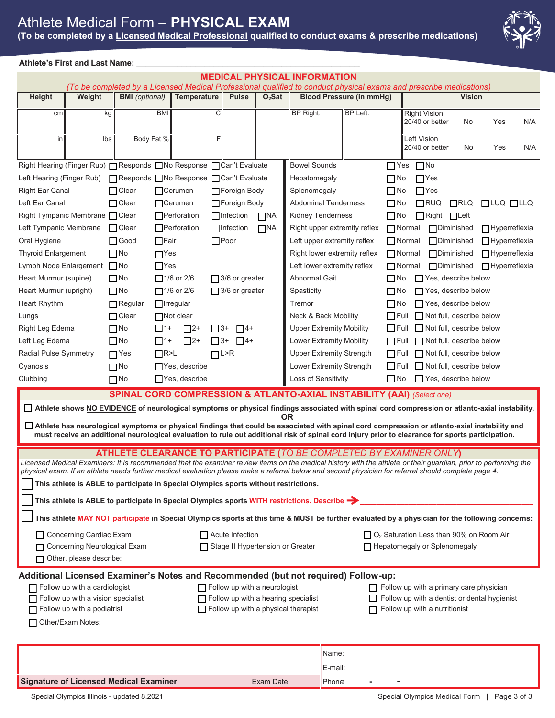# Athlete Medical Form – **PHYSICAL EXAM**

**(To be completed by a Licensed Medical Professional qualified to conduct exams & prescribe medications)**



### **Athlete's First and Last Name: \_\_\_\_\_\_\_\_\_\_\_\_\_\_\_\_\_\_\_\_\_\_\_\_\_\_\_\_\_\_\_\_\_\_\_\_\_\_\_\_\_\_\_\_\_\_\_\_\_\_\_\_\_\_\_\_\_\_\_\_\_\_**

| <b>MEDICAL PHYSICAL INFORMATION</b><br>(To be completed by a Licensed Medical Professional qualified to conduct physical exams and prescribe medications)                                                                                                                                            |        |                                                                                                |             |                      |                             |                       |           |                                                                                              |                                                                                             |                              |               |                                        |  |                     |                       |     |
|------------------------------------------------------------------------------------------------------------------------------------------------------------------------------------------------------------------------------------------------------------------------------------------------------|--------|------------------------------------------------------------------------------------------------|-------------|----------------------|-----------------------------|-----------------------|-----------|----------------------------------------------------------------------------------------------|---------------------------------------------------------------------------------------------|------------------------------|---------------|----------------------------------------|--|---------------------|-----------------------|-----|
| Height                                                                                                                                                                                                                                                                                               | Weight | <b>BMI</b> (optional)                                                                          | Temperature |                      | <b>Pulse</b>                | $O2$ Sat              |           | <b>Blood Pressure (in mmHg)</b>                                                              |                                                                                             |                              | <b>Vision</b> |                                        |  |                     |                       |     |
| cm                                                                                                                                                                                                                                                                                                   | kg     |                                                                                                | <b>BMI</b>  |                      | С                           |                       |           | BP Right:                                                                                    |                                                                                             | BP Left:                     |               | <b>Right Vision</b><br>20/40 or better |  | No                  | Yes                   | N/A |
| in                                                                                                                                                                                                                                                                                                   | lbs    |                                                                                                | Body Fat %  |                      | F                           |                       |           |                                                                                              |                                                                                             |                              |               | Left Vision<br>20/40 or better         |  | No                  | Yes                   | N/A |
| Right Hearing (Finger Rub)   Responds   No Response   Can't Evaluate                                                                                                                                                                                                                                 |        |                                                                                                |             |                      |                             |                       |           | <b>Bowel Sounds</b>                                                                          |                                                                                             |                              | $\Gamma$ Yes  | $\Box$ No                              |  |                     |                       |     |
| Left Hearing (Finger Rub)                                                                                                                                                                                                                                                                            |        | □ Responds □ No Response □ Can't Evaluate                                                      |             |                      |                             |                       |           | Hepatomegaly                                                                                 |                                                                                             |                              | $\Box$ No     | $\Box$ Yes                             |  |                     |                       |     |
| <b>Right Ear Canal</b>                                                                                                                                                                                                                                                                               |        | $\Box$ Clear                                                                                   |             | <b>O</b> Cerumen     |                             | <b>□ Foreign Body</b> |           | Splenomegaly                                                                                 |                                                                                             |                              | $\Box$ No     | $\Box$ Yes                             |  |                     |                       |     |
| Left Ear Canal                                                                                                                                                                                                                                                                                       |        | $\Box$ Clear                                                                                   |             | $\Box$ Cerumen       |                             | Foreign Body          |           | <b>Abdominal Tenderness</b>                                                                  |                                                                                             |                              | $\Box$ No     | $\Box$ RUQ                             |  | $\n  TRLQ\n$        | $\Box$ LUQ $\Box$ LLQ |     |
| <b>Right Tympanic Membrane</b>                                                                                                                                                                                                                                                                       |        | $\Box$ Clear                                                                                   |             | $\Box$ Perforation   |                             | $\Box$ Infection      | $\Box$ NA | <b>Kidney Tenderness</b>                                                                     |                                                                                             |                              | $\Box$ No     | $\Box$ Right                           |  | $\Box$ Left         |                       |     |
| Left Tympanic Membrane                                                                                                                                                                                                                                                                               |        | $\Box$ Clear                                                                                   |             | □Perforation         |                             | $\Box$ Infection      | $\Box$ NA |                                                                                              |                                                                                             | Right upper extremity reflex |               | $\Box$ Normal                          |  | <b>P</b> Diminished | $\Box$ Hyperreflexia  |     |
| Oral Hygiene                                                                                                                                                                                                                                                                                         |        | $\Box$ Good                                                                                    | $\Box$ Fair |                      |                             | $\Box$ Poor           |           |                                                                                              | Left upper extremity reflex<br>$\Box$ Normal<br><b>N</b> Diminished<br>$\Box$ Hyperreflexia |                              |               |                                        |  |                     |                       |     |
| <b>Thyroid Enlargement</b>                                                                                                                                                                                                                                                                           |        | $\Box$ No                                                                                      | $\Box$ Yes  |                      |                             |                       |           | Right lower extremity reflex<br>$\Box$ Normal<br><b>O</b> Diminished<br>$\Box$ Hyperreflexia |                                                                                             |                              |               |                                        |  |                     |                       |     |
| Lymph Node Enlargement ■ No                                                                                                                                                                                                                                                                          |        |                                                                                                | $\Box$ Yes  |                      |                             |                       |           | Left lower extremity reflex                                                                  |                                                                                             |                              |               | $\Box$ Normal                          |  | □Diminished         | $\Box$ Hyperreflexia  |     |
| Heart Murmur (supine)                                                                                                                                                                                                                                                                                |        | $\Box$ No                                                                                      |             | $\Box$ 1/6 or 2/6    |                             | $\Box$ 3/6 or greater |           | <b>Abnormal Gait</b>                                                                         |                                                                                             |                              | $\Box$ No     | $\Box$ Yes, describe below             |  |                     |                       |     |
| Heart Murmur (upright)                                                                                                                                                                                                                                                                               |        | $\Box$ No                                                                                      |             | $\Box$ 1/6 or 2/6    |                             | $3/6$ or greater      |           | Spasticity                                                                                   |                                                                                             |                              | ΠNo           | $\Box$ Yes, describe below             |  |                     |                       |     |
| Heart Rhythm                                                                                                                                                                                                                                                                                         |        | $\Box$ Regular                                                                                 |             | $\Box$ Irregular     |                             |                       |           | Tremor                                                                                       |                                                                                             |                              | $\Box$ No     | $\Box$ Yes, describe below             |  |                     |                       |     |
| Lungs                                                                                                                                                                                                                                                                                                |        | $\Box$ Clear                                                                                   |             | $\Box$ Not clear     |                             |                       |           | Neck & Back Mobility                                                                         |                                                                                             |                              | $\Box$ Full   | Not full, describe below               |  |                     |                       |     |
| Right Leg Edema                                                                                                                                                                                                                                                                                      |        | $\Box$ No                                                                                      | $\Box$ 1+   | $\Box$ 2+            | $\Box$ 3+                   | $\Box$ 4+             |           | <b>Upper Extremity Mobility</b>                                                              |                                                                                             |                              | $\Box$ Full   | $\Box$ Not full, describe below        |  |                     |                       |     |
| Left Leg Edema                                                                                                                                                                                                                                                                                       |        | <b>No</b>                                                                                      | $\Box$ 1+   | $\Box$ 2+            | $\Box$ 3+                   | $-4+$                 |           | <b>Lower Extremity Mobility</b>                                                              |                                                                                             |                              | $\Box$ Full   | $\Box$ Not full, describe below        |  |                     |                       |     |
| <b>Radial Pulse Symmetry</b>                                                                                                                                                                                                                                                                         |        | $\Gamma$ Yes                                                                                   | $\Box$ R>L  |                      | $\square$ <sup>L&gt;R</sup> |                       |           | <b>Upper Extremity Strength</b>                                                              |                                                                                             |                              | $\Box$ Full   | $\Box$ Not full, describe below        |  |                     |                       |     |
| Cyanosis                                                                                                                                                                                                                                                                                             |        | $\Box$ No                                                                                      |             | $\Box$ Yes, describe |                             |                       |           | Lower Extremity Strength                                                                     |                                                                                             |                              | $\prod$ Full  | $\Box$ Not full, describe below        |  |                     |                       |     |
| Clubbing                                                                                                                                                                                                                                                                                             |        | $\Box$ No<br><b>SPINAL CORD COMPRESSION &amp; ATLANTO-AXIAL INSTABILITY (AAI) (Select one)</b> |             | $\Box$ Yes, describe |                             |                       |           | Loss of Sensitivity                                                                          |                                                                                             |                              | $\Box$ No     | $\Box$ Yes, describe below             |  |                     |                       |     |
|                                                                                                                                                                                                                                                                                                      |        |                                                                                                |             |                      |                             |                       |           |                                                                                              |                                                                                             |                              |               |                                        |  |                     |                       |     |
| □ Athlete shows NO EVIDENCE of neurological symptoms or physical findings associated with spinal cord compression or atlanto-axial instability.<br>ΟR                                                                                                                                                |        |                                                                                                |             |                      |                             |                       |           |                                                                                              |                                                                                             |                              |               |                                        |  |                     |                       |     |
| □ Athlete has neurological symptoms or physical findings that could be associated with spinal cord compression or atlanto-axial instability and<br>must receive an additional neurological evaluation to rule out additional risk of spinal cord injury prior to clearance for sports participation. |        |                                                                                                |             |                      |                             |                       |           |                                                                                              |                                                                                             |                              |               |                                        |  |                     |                       |     |
|                                                                                                                                                                                                                                                                                                      |        |                                                                                                |             |                      |                             |                       |           |                                                                                              |                                                                                             |                              |               |                                        |  |                     |                       |     |
| ATHLETE CLEARANCE TO PARTICIPATE (TO BE COMPLETED BY EXAMINER ONLY)<br>Licensed Medical Examiners: It is recommended that the examiner review items on the medical history with the athlete or their guardian, prior to performing the                                                               |        |                                                                                                |             |                      |                             |                       |           |                                                                                              |                                                                                             |                              |               |                                        |  |                     |                       |     |
| physical exam. If an athlete needs further medical evaluation please make a referral below and second physician for referral should complete page 4.                                                                                                                                                 |        |                                                                                                |             |                      |                             |                       |           |                                                                                              |                                                                                             |                              |               |                                        |  |                     |                       |     |
| This athlete is ABLE to participate in Special Olympics sports without restrictions.                                                                                                                                                                                                                 |        |                                                                                                |             |                      |                             |                       |           |                                                                                              |                                                                                             |                              |               |                                        |  |                     |                       |     |
| This athlete is ABLE to participate in Special Olympics sports WITH restrictions. Describe $\rightarrow$                                                                                                                                                                                             |        |                                                                                                |             |                      |                             |                       |           |                                                                                              |                                                                                             |                              |               |                                        |  |                     |                       |     |
| This athlete <u>MAY NOT participate</u> in Special Olympics sports at this time & MUST be further evaluated by a physician for the following concerns:                                                                                                                                               |        |                                                                                                |             |                      |                             |                       |           |                                                                                              |                                                                                             |                              |               |                                        |  |                     |                       |     |
| $\Box$ Acute Infection<br>$\Box$ O <sub>2</sub> Saturation Less than 90% on Room Air<br>□ Concerning Cardiac Exam                                                                                                                                                                                    |        |                                                                                                |             |                      |                             |                       |           |                                                                                              |                                                                                             |                              |               |                                        |  |                     |                       |     |
|                                                                                                                                                                                                                                                                                                      |        |                                                                                                |             |                      |                             |                       |           |                                                                                              |                                                                                             |                              |               |                                        |  |                     |                       |     |
| Concerning Neurological Exam<br>Hepatomegaly or Splenomegaly<br>Stage II Hypertension or Greater<br>Other, please describe:                                                                                                                                                                          |        |                                                                                                |             |                      |                             |                       |           |                                                                                              |                                                                                             |                              |               |                                        |  |                     |                       |     |
| Additional Licensed Examiner's Notes and Recommended (but not required) Follow-up:                                                                                                                                                                                                                   |        |                                                                                                |             |                      |                             |                       |           |                                                                                              |                                                                                             |                              |               |                                        |  |                     |                       |     |
| $\Box$ Follow up with a neurologist<br>$\Box$ Follow up with a cardiologist<br>$\Box$ Follow up with a primary care physician                                                                                                                                                                        |        |                                                                                                |             |                      |                             |                       |           |                                                                                              |                                                                                             |                              |               |                                        |  |                     |                       |     |
| Follow up with a vision specialist<br>Follow up with a hearing specialist<br>Follow up with a dentist or dental hygienist                                                                                                                                                                            |        |                                                                                                |             |                      |                             |                       |           |                                                                                              |                                                                                             |                              |               |                                        |  |                     |                       |     |
| $\Box$ Follow up with a physical therapist<br>$\Box$ Follow up with a podiatrist<br>Follow up with a nutritionist                                                                                                                                                                                    |        |                                                                                                |             |                      |                             |                       |           |                                                                                              |                                                                                             |                              |               |                                        |  |                     |                       |     |
| Other/Exam Notes:                                                                                                                                                                                                                                                                                    |        |                                                                                                |             |                      |                             |                       |           |                                                                                              |                                                                                             |                              |               |                                        |  |                     |                       |     |
|                                                                                                                                                                                                                                                                                                      |        |                                                                                                |             |                      |                             |                       |           |                                                                                              | Name:                                                                                       |                              |               |                                        |  |                     |                       |     |
|                                                                                                                                                                                                                                                                                                      |        |                                                                                                |             |                      |                             |                       |           |                                                                                              | E-mail:                                                                                     |                              |               |                                        |  |                     |                       |     |
| <b>Signature of Licensed Medical Examiner</b>                                                                                                                                                                                                                                                        |        |                                                                                                |             |                      |                             |                       | Exam Date |                                                                                              | <b>Phone</b>                                                                                |                              |               |                                        |  |                     |                       |     |